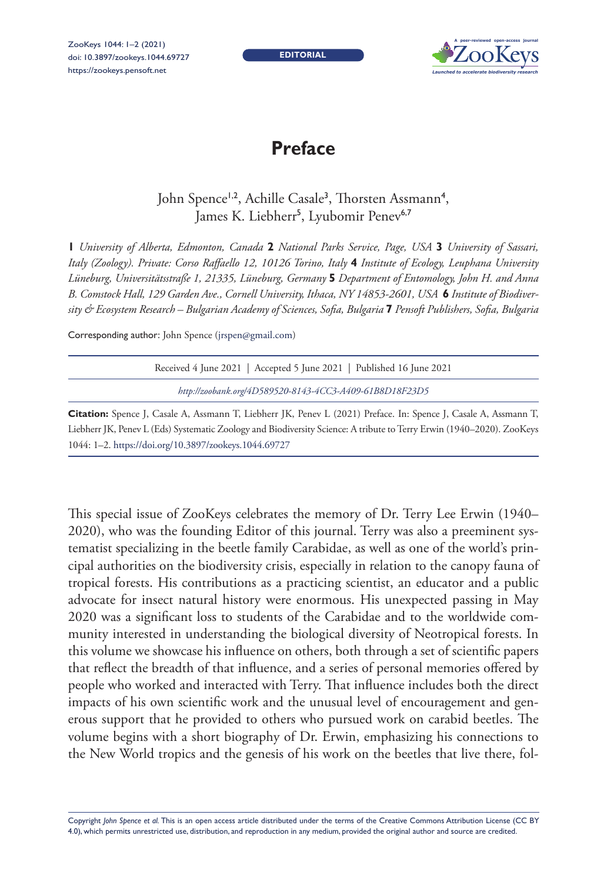ZooKeys 1044: 1–2 (2021) doi: 10.3897/zookeys.1044.69727 <https://zookeys.pensoft.net>

**EDITORIAL**



## **Preface**

## John Spence<sup>1,2</sup>, Achille Casale<sup>3</sup>, Thorsten Assmann<sup>4</sup>, James K. Liebherr<sup>5</sup>, Lyubomir Penev<sup>6,7</sup>

**1** *University of Alberta, Edmonton, Canada* **2** *National Parks Service, Page, USA* **3** *University of Sassari, Italy (Zoology). Private: Corso Raffaello 12, 10126 Torino, Italy* **4** *Institute of Ecology, Leuphana University Lüneburg, Universitätsstraße 1, 21335, Lüneburg, Germany* **5** *Department of Entomology, John H. and Anna B. Comstock Hall, 129 Garden Ave., Cornell University, Ithaca, NY 14853-2601, USA* **6** *Institute of Biodiversity & Ecosystem Research – Bulgarian Academy of Sciences, Sofia, Bulgaria* **7** *Pensoft Publishers, Sofia, Bulgaria*

Corresponding author: John Spence [\(jrspen@gmail.com\)](mailto:jrspen@gmail.com)

| Received 4 June 2021   Accepted 5 June 2021   Published 16 June 2021                                                 |
|----------------------------------------------------------------------------------------------------------------------|
| http://zoobank.org/4D589520-8143-4CC3-A409-61B8D18F23D5                                                              |
| <b>ation:</b> Spence J, Casale A, Assmann T, Liebherr JK, Penev L (2021) Preface. In: Spence J, Casale A, Assmann T, |

**Citation:** Spence J, Casale A, Assmann T, Liebherr JK, Penev L (2021) Preface. In: Spence J, Casale A, Assmann T, Liebherr JK, Penev L (Eds) Systematic Zoology and Biodiversity Science: A tribute to Terry Erwin (1940–2020). ZooKeys 1044: 1–2.<https://doi.org/10.3897/zookeys.1044.69727>

This special issue of ZooKeys celebrates the memory of Dr. Terry Lee Erwin (1940– 2020), who was the founding Editor of this journal. Terry was also a preeminent systematist specializing in the beetle family Carabidae, as well as one of the world's principal authorities on the biodiversity crisis, especially in relation to the canopy fauna of tropical forests. His contributions as a practicing scientist, an educator and a public advocate for insect natural history were enormous. His unexpected passing in May 2020 was a significant loss to students of the Carabidae and to the worldwide community interested in understanding the biological diversity of Neotropical forests. In this volume we showcase his influence on others, both through a set of scientific papers that reflect the breadth of that influence, and a series of personal memories offered by people who worked and interacted with Terry. That influence includes both the direct impacts of his own scientific work and the unusual level of encouragement and generous support that he provided to others who pursued work on carabid beetles. The volume begins with a short biography of Dr. Erwin, emphasizing his connections to the New World tropics and the genesis of his work on the beetles that live there, fol-

Copyright *John Spence et al.* This is an open access article distributed under the terms of the [Creative Commons Attribution License \(CC BY](http://creativecommons.org/licenses/by/4.0/)  [4.0\)](http://creativecommons.org/licenses/by/4.0/), which permits unrestricted use, distribution, and reproduction in any medium, provided the original author and source are credited.